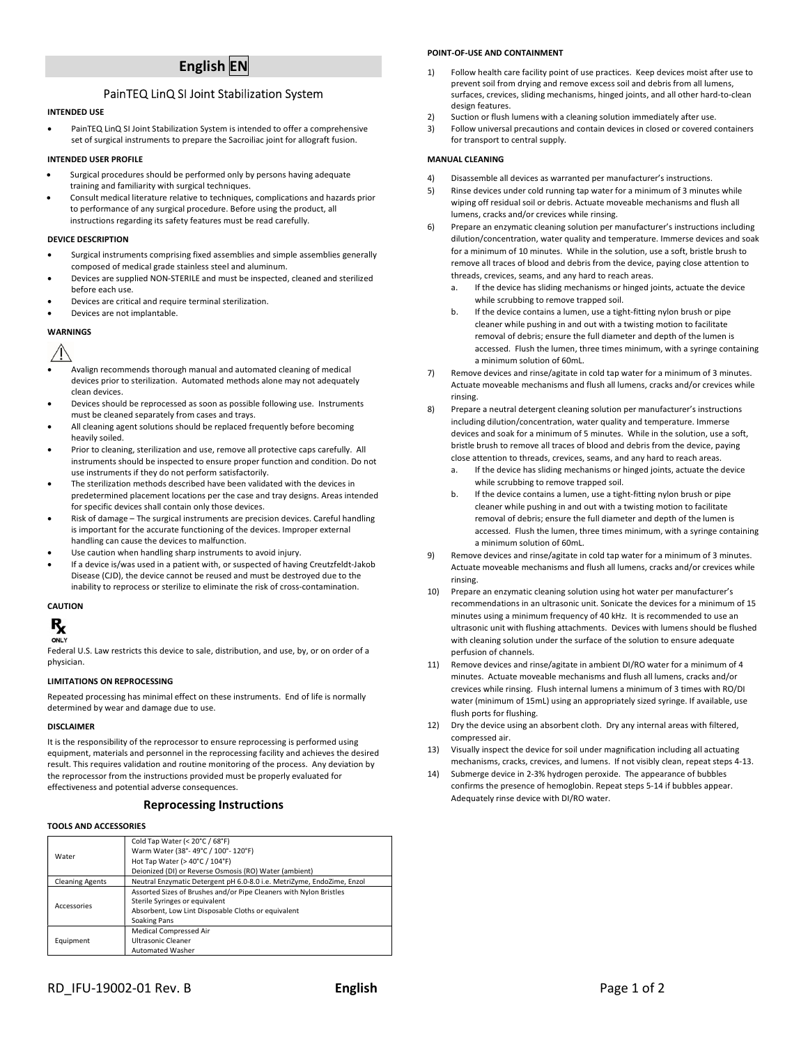# English EN

# PainTEQ LinQ SI Joint Stabilization System

# INTENDED USE

 PainTEQ LinQ SI Joint Stabilization System is intended to offer a comprehensive set of surgical instruments to prepare the Sacroiliac joint for allograft fusion.

## INTENDED USER PROFILE

- Surgical procedures should be performed only by persons having adequate training and familiarity with surgical techniques.
- Consult medical literature relative to techniques, complications and hazards prior to performance of any surgical procedure. Before using the product, all instructions regarding its safety features must be read carefully.

## DEVICE DESCRIPTION

- Surgical instruments comprising fixed assemblies and simple assemblies generally composed of medical grade stainless steel and aluminum.
- Devices are supplied NON-STERILE and must be inspected, cleaned and sterilized before each use.
- Devices are critical and require terminal sterilization.
- Devices are not implantable.

## **WARNINGS**

- Avalign recommends thorough manual and automated cleaning of medical devices prior to sterilization. Automated methods alone may not adequately clean devices.
- Devices should be reprocessed as soon as possible following use. Instruments must be cleaned separately from cases and trays.
- All cleaning agent solutions should be replaced frequently before becoming heavily soiled.
- Prior to cleaning, sterilization and use, remove all protective caps carefully. All instruments should be inspected to ensure proper function and condition. Do not use instruments if they do not perform satisfactorily.
- The sterilization methods described have been validated with the devices in predetermined placement locations per the case and tray designs. Areas intended for specific devices shall contain only those devices.
- Risk of damage The surgical instruments are precision devices. Careful handling is important for the accurate functioning of the devices. Improper external handling can cause the devices to malfunction.
- Use caution when handling sharp instruments to avoid injury.
- If a device is/was used in a patient with, or suspected of having Creutzfeldt-Jakob Disease (CJD), the device cannot be reused and must be destroyed due to the inability to reprocess or sterilize to eliminate the risk of cross-contamination.

## **CAUTION**



Federal U.S. Law restricts this device to sale, distribution, and use, by, or on order of a physician.

## LIMITATIONS ON REPROCESSING

Repeated processing has minimal effect on these instruments. End of life is normally determined by wear and damage due to use.

## DISCLAIMER

It is the responsibility of the reprocessor to ensure reprocessing is performed using equipment, materials and personnel in the reprocessing facility and achieves the desired result. This requires validation and routine monitoring of the process. Any deviation by the reprocessor from the instructions provided must be properly evaluated for effectiveness and potential adverse consequences.

# Reprocessing Instructions

# TOOLS AND ACCESSORIES

| Water                  | Cold Tap Water (< 20°C / 68°F)<br>Warm Water (38°-49°C / 100°-120°F)   |
|------------------------|------------------------------------------------------------------------|
|                        | Hot Tap Water (> 40°C / 104°F)                                         |
|                        |                                                                        |
|                        | Deionized (DI) or Reverse Osmosis (RO) Water (ambient)                 |
| <b>Cleaning Agents</b> | Neutral Enzymatic Detergent pH 6.0-8.0 i.e. MetriZyme, EndoZime, Enzol |
| Accessories            | Assorted Sizes of Brushes and/or Pipe Cleaners with Nylon Bristles     |
|                        | Sterile Syringes or equivalent                                         |
|                        | Absorbent, Low Lint Disposable Cloths or equivalent                    |
|                        | Soaking Pans                                                           |
| Equipment              | Medical Compressed Air                                                 |
|                        | Ultrasonic Cleaner                                                     |
|                        | <b>Automated Washer</b>                                                |

# POINT-OF-USE AND CONTAINMENT

- 1) Follow health care facility point of use practices. Keep devices moist after use to prevent soil from drying and remove excess soil and debris from all lumens, surfaces, crevices, sliding mechanisms, hinged joints, and all other hard-to-clean design features.
- Suction or flush lumens with a cleaning solution immediately after use.
- 3) Follow universal precautions and contain devices in closed or covered containers for transport to central supply.

#### MANUAL CLEANING

- 4) Disassemble all devices as warranted per manufacturer's instructions.
- 5) Rinse devices under cold running tap water for a minimum of 3 minutes while wiping off residual soil or debris. Actuate moveable mechanisms and flush all lumens, cracks and/or crevices while rinsing.
- 6) Prepare an enzymatic cleaning solution per manufacturer's instructions including dilution/concentration, water quality and temperature. Immerse devices and soak for a minimum of 10 minutes. While in the solution, use a soft, bristle brush to remove all traces of blood and debris from the device, paying close attention to threads, crevices, seams, and any hard to reach areas.
	- If the device has sliding mechanisms or hinged joints, actuate the device while scrubbing to remove trapped soil.
	- If the device contains a lumen, use a tight-fitting nylon brush or pipe cleaner while pushing in and out with a twisting motion to facilitate removal of debris; ensure the full diameter and depth of the lumen is accessed. Flush the lumen, three times minimum, with a syringe containing a minimum solution of 60mL.
- 7) Remove devices and rinse/agitate in cold tap water for a minimum of 3 minutes. Actuate moveable mechanisms and flush all lumens, cracks and/or crevices while rinsing.
- 8) Prepare a neutral detergent cleaning solution per manufacturer's instructions including dilution/concentration, water quality and temperature. Immerse devices and soak for a minimum of 5 minutes. While in the solution, use a soft, bristle brush to remove all traces of blood and debris from the device, paying close attention to threads, crevices, seams, and any hard to reach areas.
	- a. If the device has sliding mechanisms or hinged joints, actuate the device while scrubbing to remove trapped soil.
	- b. If the device contains a lumen, use a tight-fitting nylon brush or pipe cleaner while pushing in and out with a twisting motion to facilitate removal of debris; ensure the full diameter and depth of the lumen is accessed. Flush the lumen, three times minimum, with a syringe containing a minimum solution of 60mL.
- 9) Remove devices and rinse/agitate in cold tap water for a minimum of 3 minutes. Actuate moveable mechanisms and flush all lumens, cracks and/or crevices while rinsing.
- 10) Prepare an enzymatic cleaning solution using hot water per manufacturer's recommendations in an ultrasonic unit. Sonicate the devices for a minimum of 15 minutes using a minimum frequency of 40 kHz. It is recommended to use an ultrasonic unit with flushing attachments. Devices with lumens should be flushed with cleaning solution under the surface of the solution to ensure adequate perfusion of channels.
- 11) Remove devices and rinse/agitate in ambient DI/RO water for a minimum of 4 minutes. Actuate moveable mechanisms and flush all lumens, cracks and/or crevices while rinsing. Flush internal lumens a minimum of 3 times with RO/DI water (minimum of 15mL) using an appropriately sized syringe. If available, use flush ports for flushing.
- 12) Dry the device using an absorbent cloth. Dry any internal areas with filtered, compressed air.
- 13) Visually inspect the device for soil under magnification including all actuating mechanisms, cracks, crevices, and lumens. If not visibly clean, repeat steps 4-13.
- 14) Submerge device in 2-3% hydrogen peroxide. The appearance of bubbles confirms the presence of hemoglobin. Repeat steps 5-14 if bubbles appear. Adequately rinse device with DI/RO water.